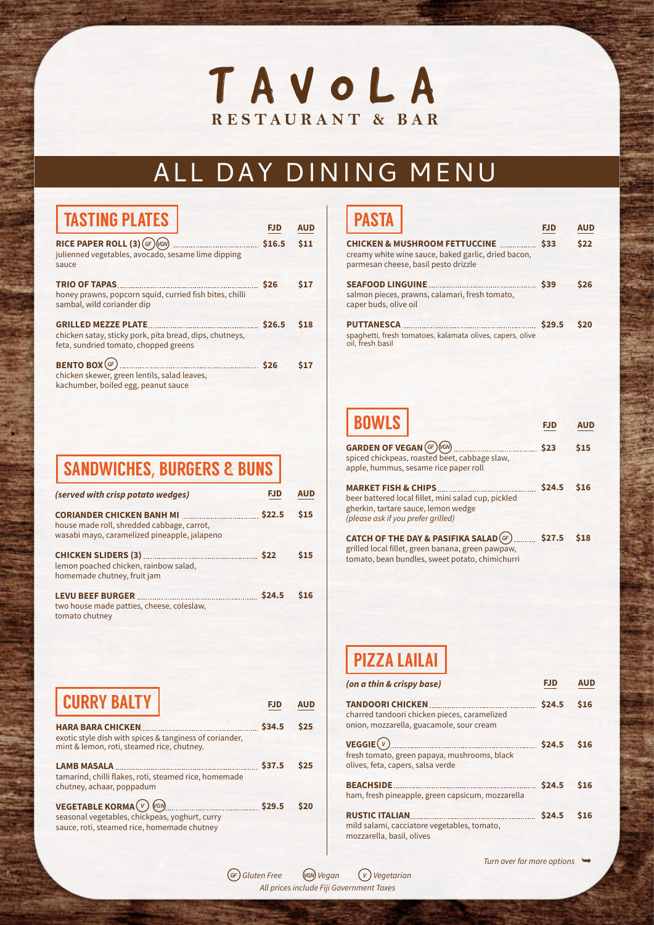# **R E S T A U R A N T & B A R** T A V O L A

## ALL DAY DINING MENU

*All prices include Fiji Government Taxes*

### BOWLS

exotic style dish with spices & tanginess of coriander, mint & lemon, roti, steamed rice, chutney.

tamarind, chilli flakes, roti, steamed rice, homemade chutney, achaar, poppadum

seasonal vegetables, chickpeas, yoghurt, curry sauce, roti, steamed rice, homemade chutney



| <b>TASTING PLATES</b>                                                                                                          | <b>FJD</b> | <b>AUD</b> |
|--------------------------------------------------------------------------------------------------------------------------------|------------|------------|
| RICE PAPER ROLL $(3)(GF)$<br>julienned vegetables, avocado, sesame lime dipping<br>sauce                                       | \$16.5     | \$11       |
| <b>TRIO OF TAPAS</b><br>honey prawns, popcorn squid, curried fish bites, chilli<br>sambal, wild coriander dip                  | \$26       | \$17       |
| <b>GRILLED MEZZE PLATE</b><br>chicken satay, sticky pork, pita bread, dips, chutneys,<br>feta, sundried tomato, chopped greens | \$26.5     | \$18       |
| <b>BENTO BOX</b> $GF$<br>.<br>chicken skewer, green lentils, salad leaves,<br>kachumber, boiled egg, peanut sauce              | \$26       | \$17       |

### **PASTA**

| <b>SANDWICHES, BURGERS &amp; BUNS  </b> |  |
|-----------------------------------------|--|

| <b>GARDEN OF VEGAN</b> $GF)(YGN)$<br>spiced chickpeas, roasted beet, cabbage slaw,<br>apple, hummus, sesame rice paper roll                                         | \$23   | \$15 |
|---------------------------------------------------------------------------------------------------------------------------------------------------------------------|--------|------|
| <b>MARKET FISH &amp; CHIPS.</b><br>beer battered local fillet, mini salad cup, pickled<br>gherkin, tartare sauce, lemon wedge<br>(please ask if you prefer grilled) | \$24.5 | \$16 |
| grilled local fillet, green banana, green pawpaw,<br>tomato, bean bundles, sweet potato, chimichurri                                                                |        |      |

| <b>UURRY DALI Y</b>                                    | EID.  |
|--------------------------------------------------------|-------|
| <b>HARA BARA CHICKEN</b>                               | S34.5 |
| ovotic stylo dish with spices & tanginess of coriandor |       |

#### **LAMB MASALA \$37.5 \$25**

### **VEGETABLE KORMA** *V VGN* **\$29.5**

*(on a thin & crispy base)*

| (served with crisp potato wedges)                                                                   | <b>FJD</b> | <b>AUD</b> |
|-----------------------------------------------------------------------------------------------------|------------|------------|
| house made roll, shredded cabbage, carrot,<br>wasabi mayo, caramelized pineapple, jalapeno          | \$22.5     | \$15       |
| <b>CHICKEN SLIDERS (3) </b><br>lemon poached chicken, rainbow salad,<br>homemade chutney, fruit jam | \$22       | \$15       |
| <b>LEVU BEEF BURGER</b><br>two house made patties, cheese, coleslaw,<br>tomato chutney              | \$24.5     | <b>S16</b> |

| .                                                                                                                                        | <b>FJD</b> | <b>AUD</b> |
|------------------------------------------------------------------------------------------------------------------------------------------|------------|------------|
| <b>CHICKEN &amp; MUSHROOM FETTUCCINE </b><br>creamy white wine sauce, baked garlic, dried bacon,<br>parmesan cheese, basil pesto drizzle | \$33       | \$22       |
| <b>SEAFOOD LINGUINE</b><br>salmon pieces, prawns, calamari, fresh tomato,<br>caper buds, olive oil                                       | \$39       | \$26       |
| <b>PUTTANESCA</b><br>spaghetti, fresh tomatoes, kalamata olives, capers, olive<br>oil, fresh basil                                       | \$29.5     | \$20       |

**TANDOORI CHICKEN \$24.5** charred tandoori chicken pieces, caramelized onion, mozzarella, guacamole, sour cream **VEGGIE** *<sup>V</sup>* **\$24.5** fresh tomato, green papaya, mushrooms, black olives, feta, capers, salsa verde **BEACHSIDE \$24.5** ham, fresh pineapple, green capsicum, mozzarella **RUSTIC ITALIAN \$24.5** mild salami, cacciatore vegetables, tomato, mozzarella, basil, olives **\$16 \$16 \$16 \$16**



*Turn over for more options* �

**\$25**

**\$20**



**FJD AUD**

**FJD AUD**